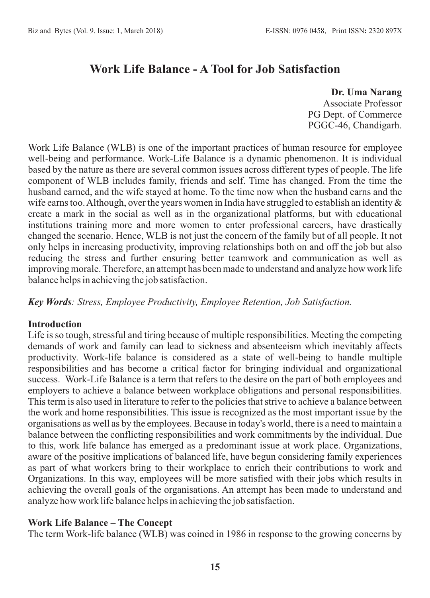# **Work Life Balance - A Tool for Job Satisfaction**

**Dr. Uma Narang** Associate Professor PG Dept. of Commerce PGGC-46, Chandigarh.

Work Life Balance (WLB) is one of the important practices of human resource for employee well-being and performance. Work-Life Balance is a dynamic phenomenon. It is individual based by the nature as there are several common issues across different types of people. The life component of WLB includes family, friends and self. Time has changed. From the time the husband earned, and the wife stayed at home. To the time now when the husband earns and the wife earns too. Although, over the years women in India have struggled to establish an identity  $\&$ create a mark in the social as well as in the organizational platforms, but with educational institutions training more and more women to enter professional careers, have drastically changed the scenario. Hence, WLB is not just the concern of the family but of all people. It not only helps in increasing productivity, improving relationships both on and off the job but also reducing the stress and further ensuring better teamwork and communication as well as improving morale. Therefore, an attempt has been made to understand and analyze how work life balance helps in achieving the job satisfaction.

*Key Words: Stress, Employee Productivity, Employee Retention, Job Satisfaction.*

#### **Introduction**

Life is so tough, stressful and tiring because of multiple responsibilities. Meeting the competing demands of work and family can lead to sickness and absenteeism which inevitably affects productivity. Work-life balance is considered as a state of well-being to handle multiple responsibilities and has become a critical factor for bringing individual and organizational success. Work-Life Balance is a term that refers to the desire on the part of both employees and employers to achieve a balance between workplace obligations and personal responsibilities. This term is also used in literature to refer to the policies that strive to achieve a balance between the work and home responsibilities. This issue is recognized as the most important issue by the organisations as well as by the employees. Because in today's world, there is a need to maintain a balance between the conflicting responsibilities and work commitments by the individual. Due to this, work life balance has emerged as a predominant issue at work place. Organizations, aware of the positive implications of balanced life, have begun considering family experiences as part of what workers bring to their workplace to enrich their contributions to work and Organizations. In this way, employees will be more satisfied with their jobs which results in achieving the overall goals of the organisations. An attempt has been made to understand and analyze how work life balance helps in achieving the job satisfaction.

#### **Work Life Balance – The Concept**

The term Work-life balance (WLB) was coined in 1986 in response to the growing concerns by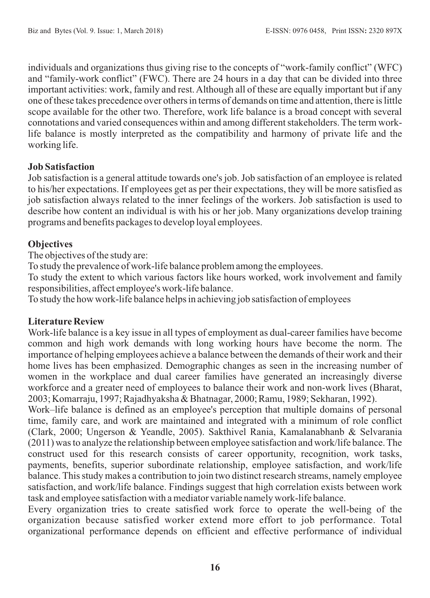individuals and organizations thus giving rise to the concepts of "work-family conflict" (WFC) and "family-work conflict" (FWC). There are 24 hours in a day that can be divided into three important activities: work, family and rest. Although all of these are equally important but if any one of these takes precedence over others in terms of demands on time and attention, there is little scope available for the other two. Therefore, work life balance is a broad concept with several connotations and varied consequences within and among different stakeholders. The term worklife balance is mostly interpreted as the compatibility and harmony of private life and the working life.

## **Job Satisfaction**

Job satisfaction is a general attitude towards one's job. Job satisfaction of an employee is related to his/her expectations. If employees get as per their expectations, they will be more satisfied as job satisfaction always related to the inner feelings of the workers. Job satisfaction is used to describe how content an individual is with his or her job. Many organizations develop training programs and benefits packages to develop loyal employees.

# **Objectives**

The objectives of the study are:

To study the prevalence of work-life balance problem among the employees.

To study the extent to which various factors like hours worked, work involvement and family responsibilities, affect employee's work-life balance.

To study the how work-life balance helps in achieving job satisfaction of employees

## **Literature Review**

Work-life balance is a key issue in all types of employment as dual-career families have become common and high work demands with long working hours have become the norm. The importance of helping employees achieve a balance between the demands of their work and their home lives has been emphasized. Demographic changes as seen in the increasing number of women in the workplace and dual career families have generated an increasingly diverse workforce and a greater need of employees to balance their work and non-work lives (Bharat, 2003; Komarraju, 1997; Rajadhyaksha & Bhatnagar, 2000; Ramu, 1989; Sekharan, 1992).

Work–life balance is defined as an employee's perception that multiple domains of personal time, family care, and work are maintained and integrated with a minimum of role conflict (Clark, 2000; Ungerson & Yeandle, 2005). Sakthivel Rania, Kamalanabhanb & Selvarania (2011) was to analyze the relationship between employee satisfaction and work/life balance. The construct used for this research consists of career opportunity, recognition, work tasks, payments, benefits, superior subordinate relationship, employee satisfaction, and work/life balance. This study makes a contribution to join two distinct research streams, namely employee satisfaction, and work/life balance. Findings suggest that high correlation exists between work task and employee satisfaction with a mediator variable namely work-life balance.

Every organization tries to create satisfied work force to operate the well-being of the organization because satisfied worker extend more effort to job performance. Total organizational performance depends on efficient and effective performance of individual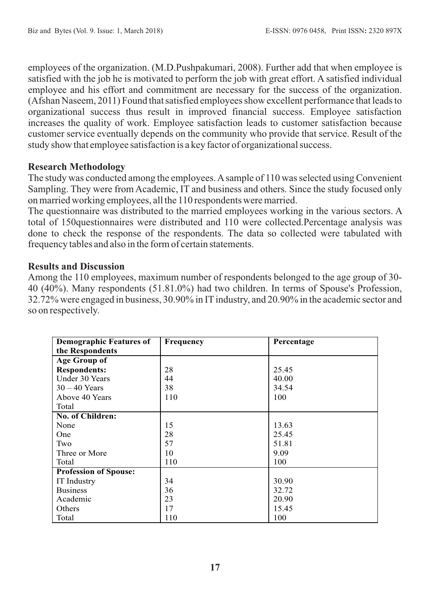employees of the organization. (M.D.Pushpakumari, 2008). Further add that when employee is satisfied with the job he is motivated to perform the job with great effort. A satisfied individual employee and his effort and commitment are necessary for the success of the organization. (Afshan Naseem, 2011) Found that satisfied employees show excellent performance that leads to organizational success thus result in improved financial success. Employee satisfaction increases the quality of work. Employee satisfaction leads to customer satisfaction because customer service eventually depends on the community who provide that service. Result of the study show that employee satisfaction is a key factor of organizational success.

## **Research Methodology**

The study was conducted among the employees. Asample of 110 was selected using Convenient Sampling. They were from Academic, IT and business and others. Since the study focused only on married working employees, all the 110 respondents were married.

The questionnaire was distributed to the married employees working in the various sectors. A total of 150questionnaires were distributed and 110 were collected.Percentage analysis was done to check the response of the respondents. The data so collected were tabulated with frequency tables and also in the form of certain statements.

#### **Results and Discussion**

Among the 110 employees, maximum number of respondents belonged to the age group of 30- 40 (40%). Many respondents (51.81.0%) had two children. In terms of Spouse's Profession, 32.72% were engaged in business, 30.90% in ITindustry, and 20.90% in the academic sector and so on respectively.

| <b>Demographic Features of</b> | <b>Frequency</b> | Percentage |
|--------------------------------|------------------|------------|
| the Respondents                |                  |            |
| Age Group of                   |                  |            |
| <b>Respondents:</b>            | 28               | 25.45      |
| Under 30 Years                 | 44               | 40.00      |
| $30 - 40$ Years                | 38               | 34.54      |
| Above 40 Years                 | 110              | 100        |
| Total                          |                  |            |
| <b>No. of Children:</b>        |                  |            |
| None                           | 15               | 13.63      |
| One                            | 28               | 25.45      |
| Two                            | 57               | 51.81      |
| Three or More                  | 10               | 9.09       |
| Total                          | 110              | 100        |
| <b>Profession of Spouse:</b>   |                  |            |
| <b>IT</b> Industry             | 34               | 30.90      |
| <b>Business</b>                | 36               | 32.72      |
| Academic                       | 23               | 20.90      |
| Others                         | 17               | 15.45      |
| Total                          | 110              | 100        |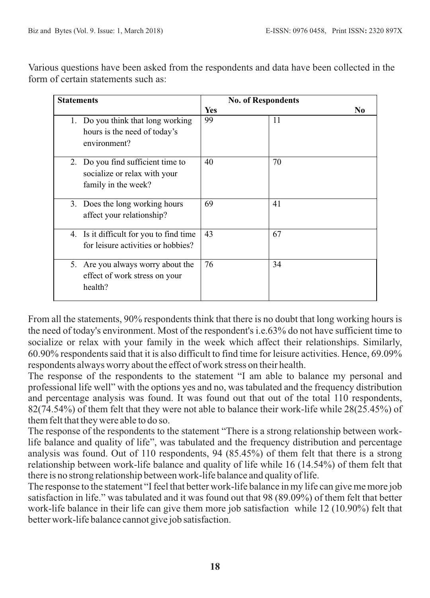Various questions have been asked from the respondents and data have been collected in the form of certain statements such as:

| <b>Statements</b>                                                                        | <b>No. of Respondents</b> |    |  |
|------------------------------------------------------------------------------------------|---------------------------|----|--|
|                                                                                          | <b>Yes</b>                | N0 |  |
| 1. Do you think that long working<br>hours is the need of today's<br>environment?        | 99                        | 11 |  |
| 2. Do you find sufficient time to<br>socialize or relax with your<br>family in the week? | 40                        | 70 |  |
| 3. Does the long working hours<br>affect your relationship?                              | 69                        | 41 |  |
| 4. Is it difficult for you to find time<br>for leisure activities or hobbies?            | 43                        | 67 |  |
| 5. Are you always worry about the<br>effect of work stress on your<br>health?            | 76                        | 34 |  |

From all the statements, 90% respondents think that there is no doubt that long working hours is the need of today's environment. Most of the respondent's i.e.63% do not have sufficient time to socialize or relax with your family in the week which affect their relationships. Similarly, 60.90% respondents said that it is also difficult to find time for leisure activities. Hence, 69.09% respondents always worry about the effect of work stress on their health.

The response of the respondents to the statement "I am able to balance my personal and professional life well" with the options yes and no, was tabulated and the frequency distribution and percentage analysis was found. It was found out that out of the total 110 respondents, 82(74.54%) of them felt that they were not able to balance their work-life while 28(25.45%) of them felt that they were able to do so.

The response of the respondents to the statement "There is a strong relationship between worklife balance and quality of life", was tabulated and the frequency distribution and percentage analysis was found. Out of 110 respondents, 94 (85.45%) of them felt that there is a strong relationship between work-life balance and quality of life while 16 (14.54%) of them felt that there is no strong relationship between work-life balance and quality of life.

The response to the statement "I feel that better work-life balance in my life can give me more job satisfaction in life." was tabulated and it was found out that 98 (89.09%) of them felt that better work-life balance in their life can give them more job satisfaction while 12 (10.90%) felt that better work-life balance cannot give job satisfaction.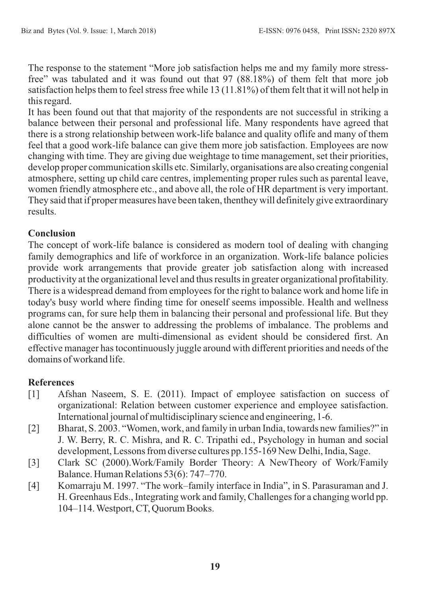The response to the statement "More job satisfaction helps me and my family more stressfree" was tabulated and it was found out that 97 (88.18%) of them felt that more job satisfaction helps them to feel stress free while 13 (11.81%) of them felt that it will not help in this regard.

It has been found out that that majority of the respondents are not successful in striking a balance between their personal and professional life. Many respondents have agreed that there is a strong relationship between work-life balance and quality oflife and many of them feel that a good work-life balance can give them more job satisfaction. Employees are now changing with time. They are giving due weightage to time management, set their priorities, develop proper communication skills etc. Similarly, organisations are also creating congenial atmosphere, setting up child care centres, implementing proper rules such as parental leave, women friendly atmosphere etc., and above all, the role of HR department is very important. They said that if proper measures have been taken, thenthey will definitely give extraordinary results.

# **Conclusion**

The concept of work-life balance is considered as modern tool of dealing with changing family demographics and life of workforce in an organization. Work-life balance policies provide work arrangements that provide greater job satisfaction along with increased productivity at the organizational level and thus results in greater organizational profitability. There is a widespread demand from employees for the right to balance work and home life in today's busy world where finding time for oneself seems impossible. Health and wellness programs can, for sure help them in balancing their personal and professional life. But they alone cannot be the answer to addressing the problems of imbalance. The problems and difficulties of women are multi-dimensional as evident should be considered first. An effective manager has tocontinuously juggle around with different priorities and needs of the domains of workand life.

# **References**

- [1] Afshan Naseem, S. E. (2011). Impact of employee satisfaction on success of organizational: Relation between customer experience and employee satisfaction. International journal of multidisciplinary science and engineering, 1-6.
- [2] Bharat, S. 2003. "Women, work, and family in urban India, towards new families?" in J. W. Berry, R. C. Mishra, and R. C. Tripathi ed., Psychology in human and social development, Lessons from diverse cultures pp.155-169 New Delhi, India, Sage.
- [3] Clark SC (2000).Work/Family Border Theory: A NewTheory of Work/Family Balance. Human Relations 53(6): 747–770.
- [4] Komarraju M. 1997. "The work–family interface in India", in S. Parasuraman and J. H. Greenhaus Eds., Integrating work and family, Challenges for a changing world pp. 104–114. Westport, CT, Quorum Books.